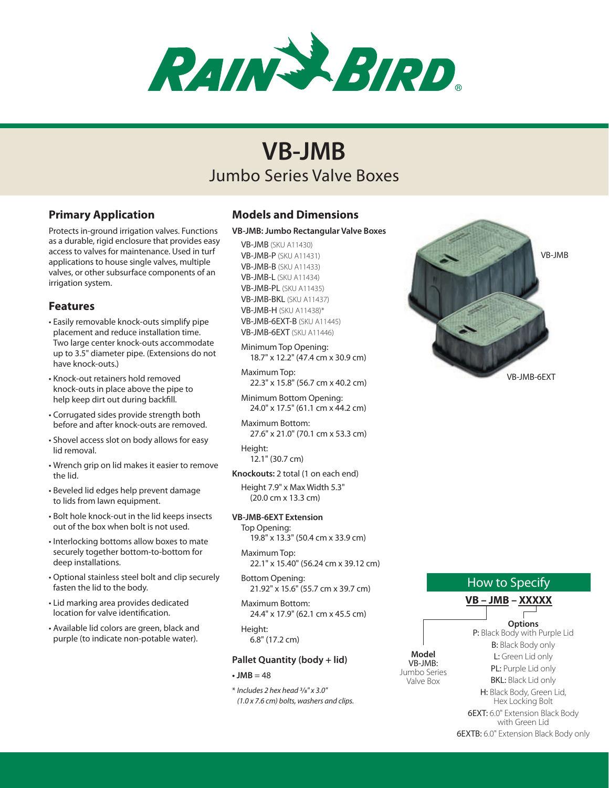

# Jumbo Series Valve Boxes **VB-JMB**

## **Primary Application**

Protects in-ground irrigation valves. Functions as a durable, rigid enclosure that provides easy access to valves for maintenance. Used in turf applications to house single valves, multiple valves, or other subsurface components of an irrigation system.

### **Features**

- • Easily removable knock-outs simplify pipe placement and reduce installation time. Two large center knock-outs accommodate up to 3.5" diameter pipe. (Extensions do not have knock-outs.)
- • Knock-out retainers hold removed knock-outs in place above the pipe to help keep dirt out during backfill.
- • Corrugated sides provide strength both before and after knock-outs are removed.
- Shovel access slot on body allows for easy lid removal.
- • Wrench grip on lid makes it easier to remove the lid.
- • Beveled lid edges help prevent damage to lids from lawn equipment.
- • Bolt hole knock-out in the lid keeps insects out of the box when bolt is not used.
- Interlocking bottoms allow boxes to mate securely together bottom-to-bottom for deep installations.
- • Optional stainless steel bolt and clip securely fasten the lid to the body.
- • Lid marking area provides dedicated location for valve identification.
- • Available lid colors are green, black and purple (to indicate non-potable water).

## **Models and Dimensions**

#### **VB-JMB: Jumbo Rectangular Valve Boxes**

VB-JMB (SKU A11430) VB-JMB-P (SKU A11431) VB-JMB-B (SKU A11433) VB-JMB-L (SKU A11434) VB-JMB-PL (SKU A11435) VB-JMB-BKL (SKU A11437) VB-JMB-H (SKU A11438)\* VB-JMB-6EXT-B (SKU A11445) VB-JMB-6EXT (SKU A11446)

Minimum Top Opening: 18.7" x 12.2" (47.4 cm x 30.9 cm)

Maximum Top: 22.3" x 15.8" (56.7 cm x 40.2 cm)

Minimum Bottom Opening: 24.0" x 17.5" (61.1 cm x 44.2 cm)

Maximum Bottom: 27.6" x 21.0" (70.1 cm x 53.3 cm)

Height: 12.1" (30.7 cm)

**Knockouts:** 2 total (1 on each end)

Height 7.9" x Max Width 5.3" (20.0 cm x 13.3 cm)

#### **VB-JMB-6EXT Extension**

Top Opening: 19.8" x 13.3" (50.4 cm x 33.9 cm)

Maximum Top: 22.1" x 15.40" (56.24 cm x 39.12 cm)

Bottom Opening: 21.92" x 15.6" (55.7 cm x 39.7 cm)

Maximum Bottom: 24.4" x 17.9" (62.1 cm x 45.5 cm)

Height: 6.8" (17.2 cm)

#### **Pallet Quantity (body + lid)**

 $\cdot$  JMB = 48

\* *Includes 2 hex head 3/8" x 3.0" (1.0 x 7.6 cm) bolts, washers and clips.*



## How to Specify

|                                    |         | VB – JMB – XXXXX                                           |
|------------------------------------|---------|------------------------------------------------------------|
|                                    |         |                                                            |
| Model<br>Jumbo Series<br>Valve Box |         | <b>Options</b>                                             |
|                                    | VB-JMB: | P: Black Body with Purple Lid<br><b>B:</b> Black Body only |
|                                    |         | <b>L:</b> Green Lid only                                   |
|                                    |         | <b>PL:</b> Purple Lid only                                 |
|                                    |         | <b>BKL:</b> Black Lid only                                 |
|                                    |         | <b>H:</b> Black Body, Green Lid,<br>Hex Locking Bolt       |
|                                    |         | <b>6EXT:</b> 6.0" Extension Black Body<br>with Green Lid   |
|                                    |         | <b>6EXTB:</b> 6.0" Extension Black Body only               |